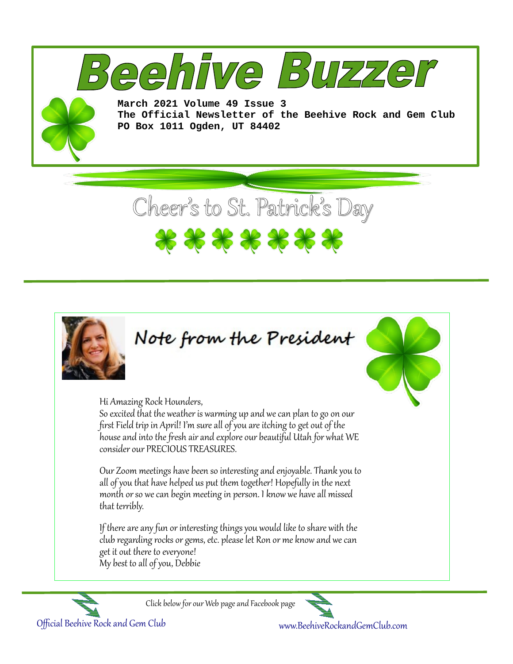

Hi Amazing Rock Hounders,

So excited that the weather is warming up and we can plan to go on our first Field trip in April! I'm sure all of you are itching to get out of the house and into the fresh air and explore our beautiful Utah for what WE consider our PRECIOUS TREASURES.

Our Zoom meetings have been so interesting and enjoyable. Thank you to all of you that have helped us put them together! Hopefully in the next month or so we can begin meeting in person. I know we have all missed that terribly.

If there are any fun or interesting things you would like to share with the club regarding rocks or gems, etc. please let Ron or me know and we can get it out there to everyone! My best to all of you, Debbie







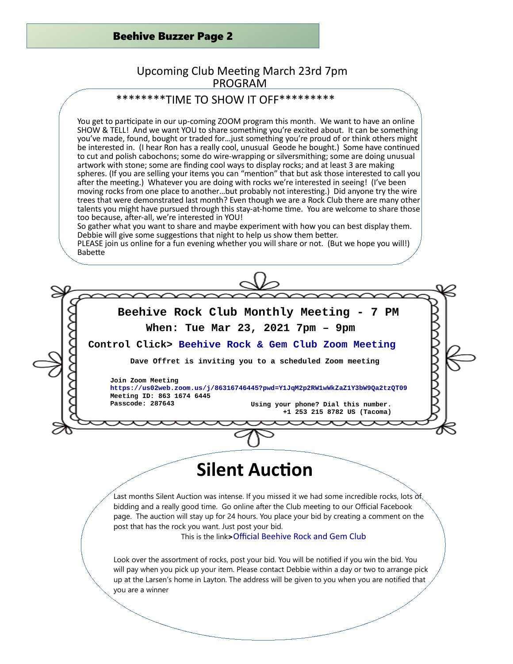## Beehive Buzzer Page 2

# Upcoming Club Meeting March 23rd 7pm PROGRAM

# \*\*\*\*\*\*\*\*TIME TO SHOW IT OFF\*\*\*\*\*\*\*\*\*

You get to participate in our up-coming ZOOM program this month. We want to have an online SHOW & TELL! And we want YOU to share something you're excited about. It can be something you've made, found, bought or traded for…just something you're proud of or think others might be interested in. (I hear Ron has a really cool, unusual Geode he bought.) Some have continued to cut and polish cabochons; some do wire-wrapping or silversmithing; some are doing unusual artwork with stone; some are finding cool ways to display rocks; and at least 3 are making spheres. (If you are selling your items you can "mention" that but ask those interested to call you after the meeting.) Whatever you are doing with rocks we're interested in seeing! (I've been moving rocks from one place to another…but probably not interesting.) Did anyone try the wire trees that were demonstrated last month? Even though we are a Rock Club there are many other talents you might have pursued through this stay-at-home time. You are welcome to share those too because, after-all, we're interested in YOU!

So gather what you want to share and maybe experiment with how you can best display them. Debbie will give some suggestions that night to help us show them better.

PLEASE join us online for a fun evening whether you will share or not. (But we hope you will!) Babette



# **Silent Auction**

Last months Silent Auction was intense. If you missed it we had some incredible rocks, lots of bidding and a really good time. Go online after the Club meeting to our Official Facebook page. The auction will stay up for 24 hours. You place your bid by creating a comment on the post that has the rock you want. Just post your bid.

This is the link>[Official Beehive Rock and Gem Club](https://www.facebook.com/groups/3184569274959212/)

Look over the assortment of rocks, post your bid. You will be notified if you win the bid. You will pay when you pick up your item. Please contact Debbie within a day or two to arrange pick up at the Larsen's home in Layton. The address will be given to you when you are notified that you are a winner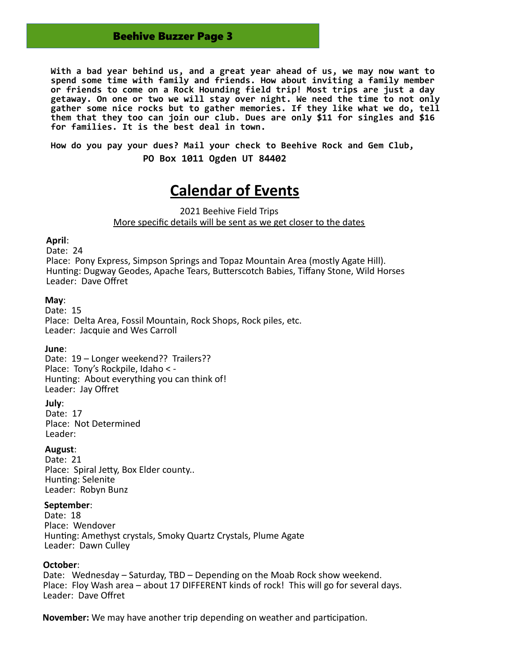## Beehive Buzzer Page 3

**With a bad year behind us, and a great year ahead of us, we may now want to spend some time with family and friends. How about inviting a family member or friends to come on a Rock Hounding field trip! Most trips are just a day getaway. On one or two we will stay over night. We need the time to not only gather some nice rocks but to gather memories. If they like what we do, tell them that they too can join our club. Dues are only \$11 for singles and \$16 for families. It is the best deal in town.**

**How do you pay your dues? Mail your check to Beehive Rock and Gem Club,** 

 **PO Box 1011 Ogden UT 84402**

# **Calendar of Events**

2021 Beehive Field Trips More specific details will be sent as we get closer to the dates

#### **April**:

Date: 24

Place: Pony Express, Simpson Springs and Topaz Mountain Area (mostly Agate Hill). Hunting: Dugway Geodes, Apache Tears, Butterscotch Babies, Tiffany Stone, Wild Horses Leader: Dave Offret

### **May**:

Date: 15 Place: Delta Area, Fossil Mountain, Rock Shops, Rock piles, etc. Leader: Jacquie and Wes Carroll

#### **June**:

Date: 19 - Longer weekend?? Trailers?? Place: Tony's Rockpile, Idaho < - Hunting: About everything you can think of! Leader: Jay Offret

#### **July**:

Date: 17 Place: Not Determined Leader:

#### **August**:

Date: 21 Place: Spiral Jetty, Box Elder county.. Hunting: Selenite Leader: Robyn Bunz

### **September**:

Date: 18 Place: Wendover Hunting: Amethyst crystals, Smoky Quartz Crystals, Plume Agate Leader: Dawn Culley

#### **October**:

Date: Wednesday – Saturday, TBD – Depending on the Moab Rock show weekend. Place: Floy Wash area – about 17 DIFFERENT kinds of rock! This will go for several days. Leader: Dave Offret

**November:** We may have another trip depending on weather and participation.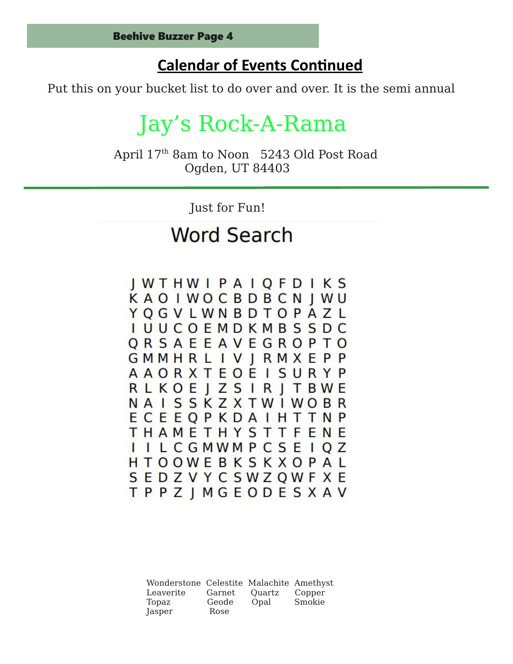# **Calendar of Events Continued**

Put this on your bucket list to do over and over. It is the semi annual

# Jay's Rock-A-Rama

April 17th 8am to Noon 5243 Old Post Road Ogden, UT 84403

Just for Fun!

# **Word Search**

**IWTHWIPAIOFDIKS** KAOIWOCBDBCNJWU YOGVLWNBDTOPAZL I U U C O E M D K M B S S D C ORSAEEAVEGROPTO **GMMHRLIVJRMXEPP AAORXTEOEISURYP RLKOEIZSIRITBWE NAISSKZXTWIWOBR** ECEEOPKDAIHTTNP **THAMETHYSTTFENE** I I L C G M W M P C S E I O Z HTOOWEBKSKXOPAL SEDZVYCSWZQWFXE **TPPZIMGEODESXAV** 

Wonderstone Celestite Malachite Amethyst Leaverite Garnet Quartz Copper Topaz Geode Opal Smokie Jasper Rose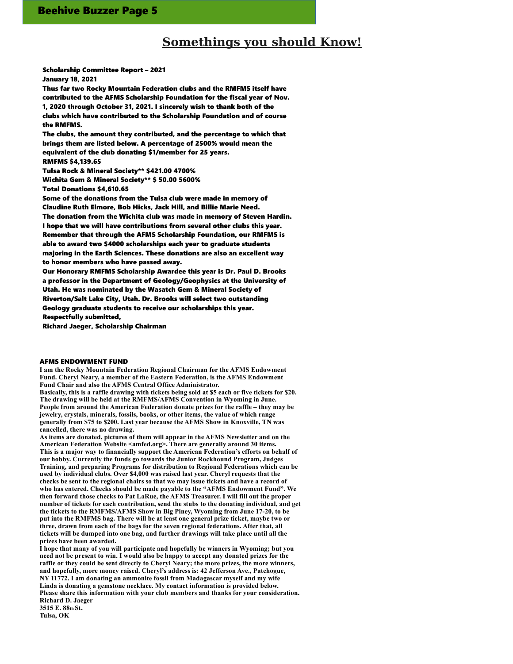# **Somethings you should Know!**

Scholarship Committee Report – 2021 January 18, 2021

Thus far two Rocky Mountain Federation clubs and the RMFMS itself have contributed to the AFMS Scholarship Foundation for the fiscal year of Nov. 1, 2020 through October 31, 2021. I sincerely wish to thank both of the clubs which have contributed to the Scholarship Foundation and of course the RMFMS.

The clubs, the amount they contributed, and the percentage to which that brings them are listed below. A percentage of 2500% would mean the equivalent of the club donating \$1/member for 25 years.

RMFMS \$4,139.65

Tulsa Rock & Mineral Society\*\* \$421.00 4700%

Wichita Gem & Mineral Society\*\* \$ 50.00 5600%

Total Donations \$4,610.65

Some of the donations from the Tulsa club were made in memory of Claudine Ruth Elmore, Bob Hicks, Jack Hill, and Billie Marie Need. The donation from the Wichita club was made in memory of Steven Hardin. I hope that we will have contributions from several other clubs this year. Remember that through the AFMS Scholarship Foundation, our RMFMS is able to award two \$4000 scholarships each year to graduate students majoring in the Earth Sciences. These donations are also an excellent way to honor members who have passed away.

Our Honorary RMFMS Scholarship Awardee this year is Dr. Paul D. Brooks a professor in the Department of Geology/Geophysics at the University of Utah. He was nominated by the Wasatch Gem & Mineral Society of Riverton/Salt Lake City, Utah. Dr. Brooks will select two outstanding Geology graduate students to receive our scholarships this year.

Respectfully submitted,

Richard Jaeger, Scholarship Chairman

#### AFMS ENDOWMENT FUND

**I am the Rocky Mountain Federation Regional Chairman for the AFMS Endowment Fund. Cheryl Neary, a member of the Eastern Federation, is the AFMS Endowment Fund Chair and also the AFMS Central Office Administrator. Basically, this is a raffle drawing with tickets being sold at \$5 each or five tickets for \$20. The drawing will be held at the RMFMS/AFMS Convention in Wyoming in June. People from around the American Federation donate prizes for the raffle – they may be jewelry, crystals, minerals, fossils, books, or other items, the value of which range generally from \$75 to \$200. Last year because the AFMS Show in Knoxville, TN was cancelled, there was no drawing.**

**As items are donated, pictures of them will appear in the AFMS Newsletter and on the American Federation Website <amfed.org>. There are generally around 30 items. This is a major way to financially support the American Federation's efforts on behalf of our hobby. Currently the funds go towards the Junior Rockhound Program, Judges Training, and preparing Programs for distribution to Regional Federations which can be used by individual clubs. Over \$4,000 was raised last year. Cheryl requests that the checks be sent to the regional chairs so that we may issue tickets and have a record of who has entered. Checks should be made payable to the "AFMS Endowment Fund". We then forward those checks to Pat LaRue, the AFMS Treasurer. I will fill out the proper number of tickets for each contribution, send the stubs to the donating individual, and get the tickets to the RMFMS/AFMS Show in Big Piney, Wyoming from June 17-20, to be put into the RMFMS bag. There will be at least one general prize ticket, maybe two or three, drawn from each of the bags for the seven regional federations. After that, all tickets will be dumped into one bag, and further drawings will take place until all the prizes have been awarded.**

**I hope that many of you will participate and hopefully be winners in Wyoming; but you need not be present to win. I would also be happy to accept any donated prizes for the raffle or they could be sent directly to Cheryl Neary; the more prizes, the more winners, and hopefully, more money raised. Cheryl's address is: 42 Jefferson Ave., Patchogue, NY 11772. I am donating an ammonite fossil from Madagascar myself and my wife Linda is donating a gemstone necklace. My contact information is provided below. Please share this information with your club members and thanks for your consideration. Richard D. Jaeger**

**3515 E. 88th St. Tulsa, OK**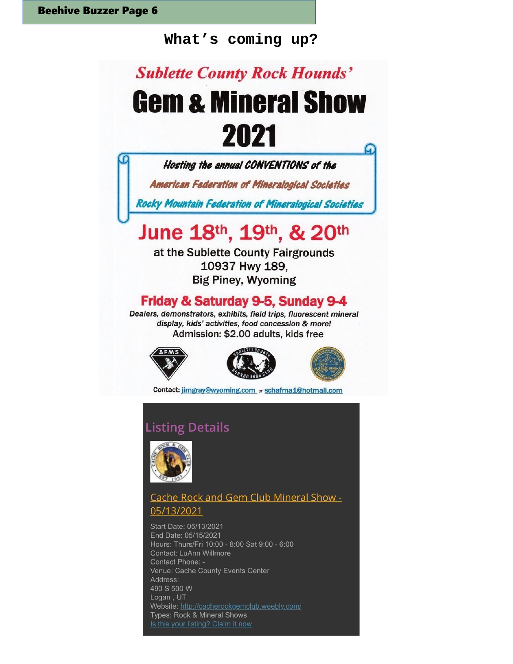# **What's coming up?**

# **Sublette County Rock Hounds' Gem & Mineral Show** 2021





Contact: jimgray@wyoming.com or schafma1@hotmail.com

# **Listing Details**



# Cache Rock and Gem Club Mineral Show -05/13/2021

Start Date: 05/13/2021 End Date: 05/15/2021 Hours: Thurs/Fri 10:00 - 8:00 Sat 9:00 - 6:00 Contact: LuAnn Willmore Contact Phone: -Venue: Cache County Events Center Address: 490 S 500 W Logan, UT Website: http://cacherockgemclub.weebly.com/ Types: Rock & Mineral Shows Is this your listing? Claim it now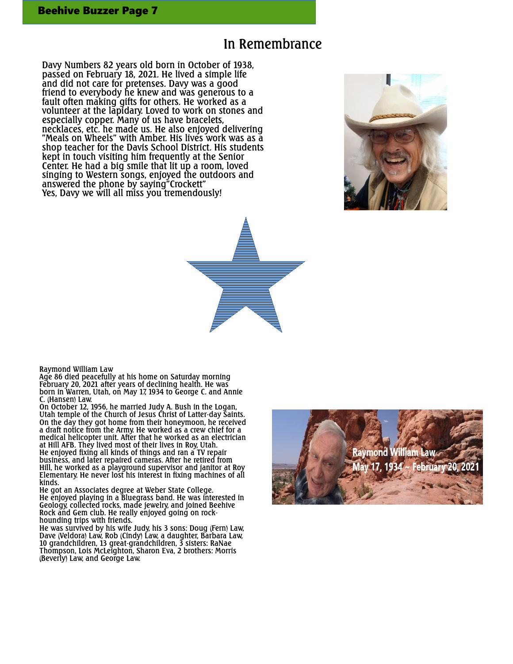# In Remembrance

Davy Numbers 82 years old born in October of 1938, passed on February 18, 2021. He lived a simple life and did not care for pretenses. Davy was a good friend to everybody he knew and was generous to a fault often making gifts for others. He worked as a volunteer at the lapidary. Loved to work on stones and especially copper. Many of us have bracelets, necklaces, etc. he made us. He also enjoyed delivering "Meals on Wheels" with Amber. His lives work was as a shop teacher for the Davis School District. His students kept in touch visiting him frequently at the Senior Center. He had a big smile that lit up a room, loved singing to Western songs, enjoyed the outdoors and answered the phone by saying"Crockett" Yes, Davy we will all miss you tremendously!





#### Raymond William Law

Age 86 died peacefully at his home on Saturday morning February 20, 2021 after years of declining health. He was born in Warren, Utah, on May 17, 1934 to George C. and Annie C. (Hansen) Law.

On October 12, 1956, he married Judy A. Bush in the Logan, Utah temple of the Church of Jesus Christ of Latter-day Saints. On the day they got home from their honeymoon, he received a draft notice from the Army. He worked as a crew chief for a medical helicopter unit. After that he worked as an electrician at Hill AFB. They lived most of their lives in Roy, Utah. He enjoyed fixing all kinds of things and ran a TV repair business, and later repaired cameras. After he retired from Hill, he worked as a playground supervisor and janitor at Roy Elementary. He never lost his interest in fixing machines of all kinds.

He got an Associates degree at Weber State College. He enjoyed playing in a Bluegrass band. He was interested in Geology, collected rocks, made jewelry, and joined Beehive Rock and Gem club. He really enjoyed going on rockhounding trips with friends.

He was survived by his wife Judy, his 3 sons: Doug (Fern) Law, Dave (Veldora) Law, Rob (Cindy) Law, a daughter, Barbara Law, 10 grandchildren, 13 great-grandchildren, 3 sisters: RaNae Thompson, Lois McLeighton, Sharon Eva, 2 brothers: Morris (Beverly) Law, and George Law.